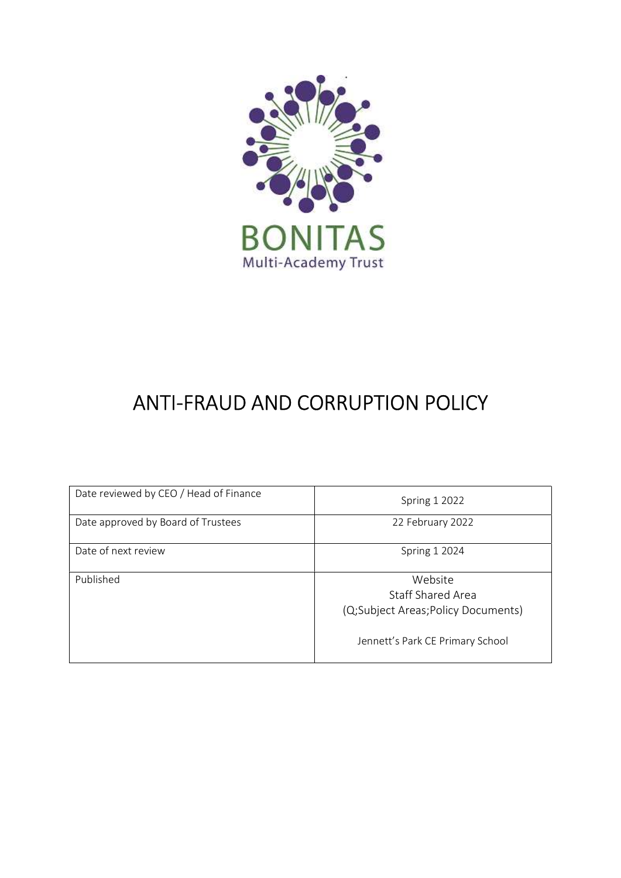

# ANTI-FRAUD AND CORRUPTION POLICY

| Date reviewed by CEO / Head of Finance | <b>Spring 1 2022</b>                                                                                   |
|----------------------------------------|--------------------------------------------------------------------------------------------------------|
| Date approved by Board of Trustees     | 22 February 2022                                                                                       |
| Date of next review                    | <b>Spring 1 2024</b>                                                                                   |
| Published                              | Website<br>Staff Shared Area<br>(Q;Subject Areas;Policy Documents)<br>Jennett's Park CE Primary School |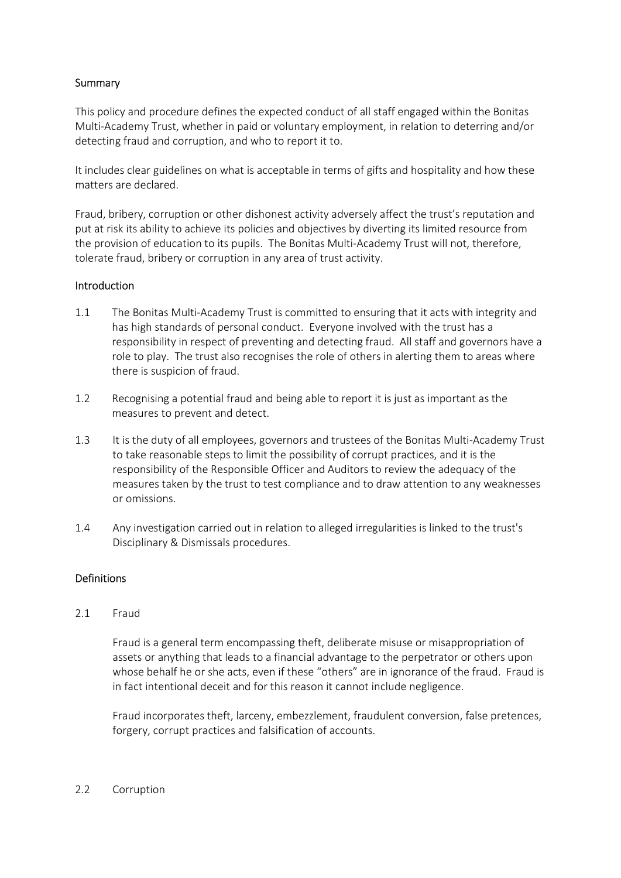### **Summary**

This policy and procedure defines the expected conduct of all staff engaged within the Bonitas Multi-Academy Trust, whether in paid or voluntary employment, in relation to deterring and/or detecting fraud and corruption, and who to report it to.

It includes clear guidelines on what is acceptable in terms of gifts and hospitality and how these matters are declared.

Fraud, bribery, corruption or other dishonest activity adversely affect the trust's reputation and put at risk its ability to achieve its policies and objectives by diverting its limited resource from the provision of education to its pupils. The Bonitas Multi-Academy Trust will not, therefore, tolerate fraud, bribery or corruption in any area of trust activity.

#### **Introduction**

- 1.1 The Bonitas Multi-Academy Trust is committed to ensuring that it acts with integrity and has high standards of personal conduct. Everyone involved with the trust has a responsibility in respect of preventing and detecting fraud. All staff and governors have a role to play. The trust also recognises the role of others in alerting them to areas where there is suspicion of fraud.
- 1.2 Recognising a potential fraud and being able to report it is just as important as the measures to prevent and detect.
- 1.3 It is the duty of all employees, governors and trustees of the Bonitas Multi-Academy Trust to take reasonable steps to limit the possibility of corrupt practices, and it is the responsibility of the Responsible Officer and Auditors to review the adequacy of the measures taken by the trust to test compliance and to draw attention to any weaknesses or omissions.
- 1.4 Any investigation carried out in relation to alleged irregularities is linked to the trust's Disciplinary & Dismissals procedures.

#### Definitions

2.1 Fraud

Fraud is a general term encompassing theft, deliberate misuse or misappropriation of assets or anything that leads to a financial advantage to the perpetrator or others upon whose behalf he or she acts, even if these "others" are in ignorance of the fraud. Fraud is in fact intentional deceit and for this reason it cannot include negligence.

Fraud incorporates theft, larceny, embezzlement, fraudulent conversion, false pretences, forgery, corrupt practices and falsification of accounts.

#### 2.2 Corruption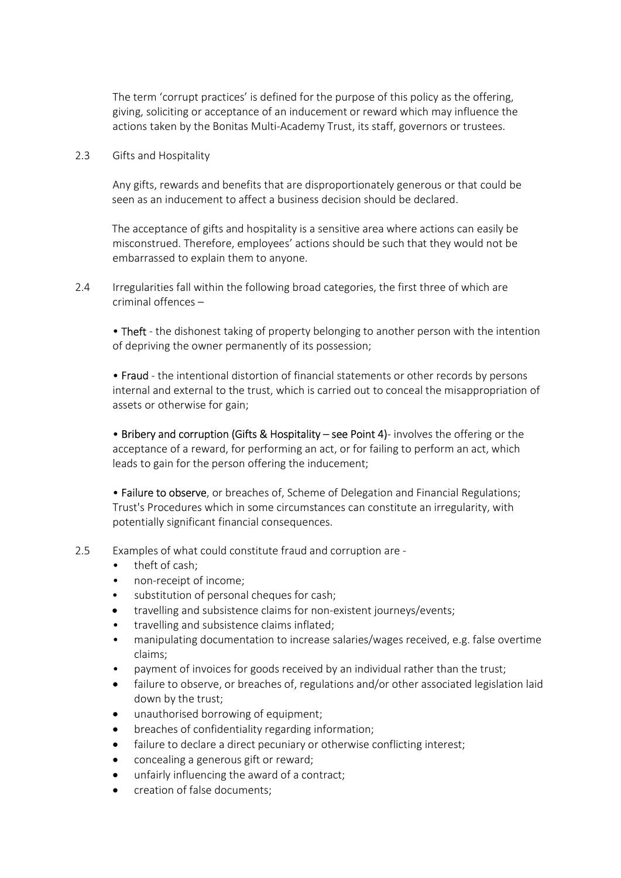The term 'corrupt practices' is defined for the purpose of this policy as the offering, giving, soliciting or acceptance of an inducement or reward which may influence the actions taken by the Bonitas Multi-Academy Trust, its staff, governors or trustees.

2.3 Gifts and Hospitality

Any gifts, rewards and benefits that are disproportionately generous or that could be seen as an inducement to affect a business decision should be declared.

The acceptance of gifts and hospitality is a sensitive area where actions can easily be misconstrued. Therefore, employees' actions should be such that they would not be embarrassed to explain them to anyone.

2.4 Irregularities fall within the following broad categories, the first three of which are criminal offences –

• Theft - the dishonest taking of property belonging to another person with the intention of depriving the owner permanently of its possession;

• Fraud - the intentional distortion of financial statements or other records by persons internal and external to the trust, which is carried out to conceal the misappropriation of assets or otherwise for gain;

• Bribery and corruption (Gifts & Hospitality – see Point 4)- involves the offering or the acceptance of a reward, for performing an act, or for failing to perform an act, which leads to gain for the person offering the inducement;

• Failure to observe, or breaches of, Scheme of Delegation and Financial Regulations; Trust's Procedures which in some circumstances can constitute an irregularity, with potentially significant financial consequences.

- 2.5 Examples of what could constitute fraud and corruption are
	- theft of cash:
	- non-receipt of income;
	- substitution of personal cheques for cash;
	- travelling and subsistence claims for non-existent journeys/events;
	- travelling and subsistence claims inflated;
	- manipulating documentation to increase salaries/wages received, e.g. false overtime claims;
	- payment of invoices for goods received by an individual rather than the trust;
	- failure to observe, or breaches of, regulations and/or other associated legislation laid down by the trust;
	- unauthorised borrowing of equipment;
	- breaches of confidentiality regarding information;
	- failure to declare a direct pecuniary or otherwise conflicting interest;
	- concealing a generous gift or reward;
	- unfairly influencing the award of a contract;
	- creation of false documents;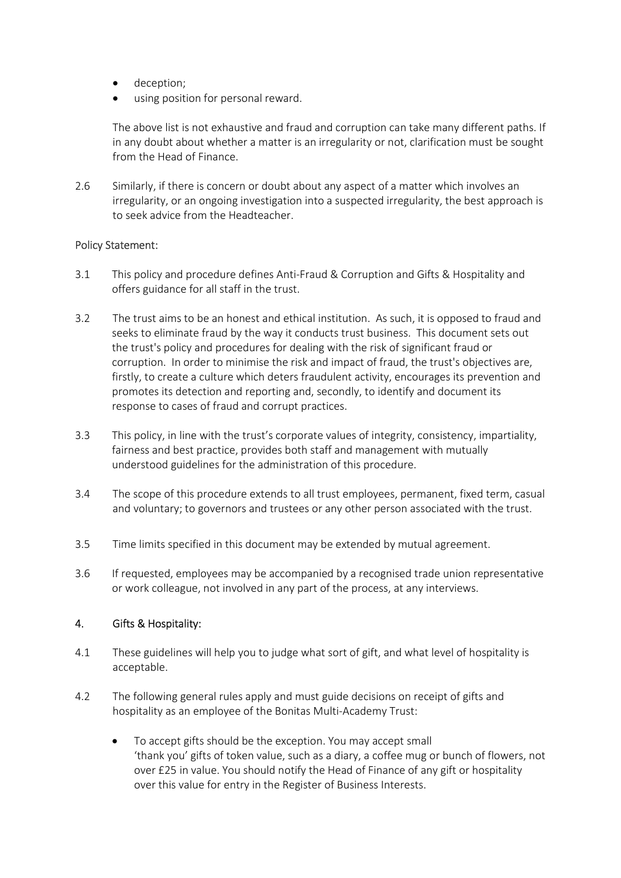- deception;
- using position for personal reward.

The above list is not exhaustive and fraud and corruption can take many different paths. If in any doubt about whether a matter is an irregularity or not, clarification must be sought from the Head of Finance.

2.6 Similarly, if there is concern or doubt about any aspect of a matter which involves an irregularity, or an ongoing investigation into a suspected irregularity, the best approach is to seek advice from the Headteacher.

#### Policy Statement:

- 3.1 This policy and procedure defines Anti-Fraud & Corruption and Gifts & Hospitality and offers guidance for all staff in the trust.
- 3.2 The trust aims to be an honest and ethical institution. As such, it is opposed to fraud and seeks to eliminate fraud by the way it conducts trust business. This document sets out the trust's policy and procedures for dealing with the risk of significant fraud or corruption. In order to minimise the risk and impact of fraud, the trust's objectives are, firstly, to create a culture which deters fraudulent activity, encourages its prevention and promotes its detection and reporting and, secondly, to identify and document its response to cases of fraud and corrupt practices.
- 3.3 This policy, in line with the trust's corporate values of integrity, consistency, impartiality, fairness and best practice, provides both staff and management with mutually understood guidelines for the administration of this procedure.
- 3.4 The scope of this procedure extends to all trust employees, permanent, fixed term, casual and voluntary; to governors and trustees or any other person associated with the trust.
- 3.5 Time limits specified in this document may be extended by mutual agreement.
- 3.6 If requested, employees may be accompanied by a recognised trade union representative or work colleague, not involved in any part of the process, at any interviews.

#### 4. Gifts & Hospitality:

- 4.1 These guidelines will help you to judge what sort of gift, and what level of hospitality is acceptable.
- 4.2 The following general rules apply and must guide decisions on receipt of gifts and hospitality as an employee of the Bonitas Multi-Academy Trust:
	- To accept gifts should be the exception. You may accept small 'thank you' gifts of token value, such as a diary, a coffee mug or bunch of flowers, not over £25 in value. You should notify the Head of Finance of any gift or hospitality over this value for entry in the Register of Business Interests.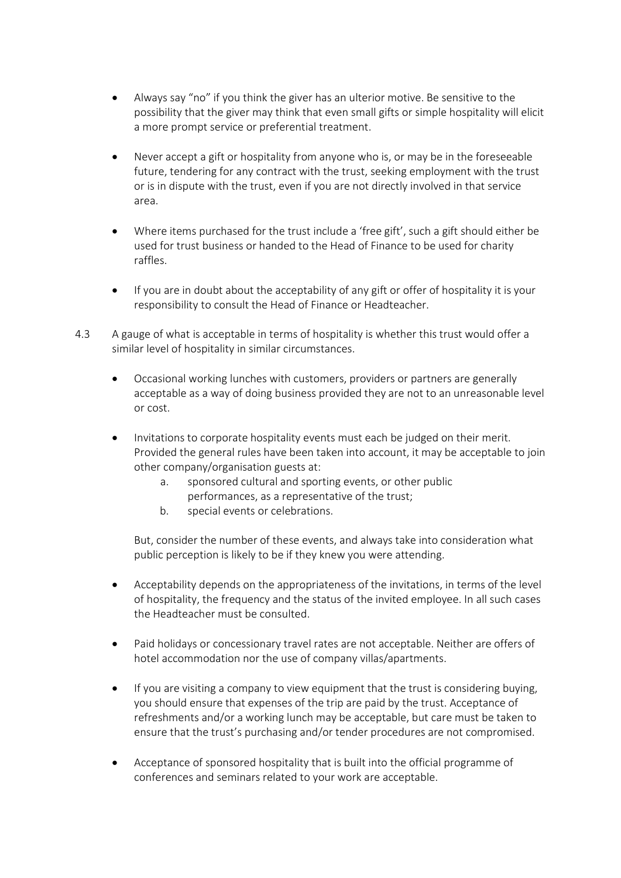- Always say "no" if you think the giver has an ulterior motive. Be sensitive to the possibility that the giver may think that even small gifts or simple hospitality will elicit a more prompt service or preferential treatment.
- Never accept a gift or hospitality from anyone who is, or may be in the foreseeable future, tendering for any contract with the trust, seeking employment with the trust or is in dispute with the trust, even if you are not directly involved in that service area.
- Where items purchased for the trust include a 'free gift', such a gift should either be used for trust business or handed to the Head of Finance to be used for charity raffles.
- If you are in doubt about the acceptability of any gift or offer of hospitality it is your responsibility to consult the Head of Finance or Headteacher.
- 4.3 A gauge of what is acceptable in terms of hospitality is whether this trust would offer a similar level of hospitality in similar circumstances.
	- Occasional working lunches with customers, providers or partners are generally acceptable as a way of doing business provided they are not to an unreasonable level or cost.
	- Invitations to corporate hospitality events must each be judged on their merit. Provided the general rules have been taken into account, it may be acceptable to join other company/organisation guests at:
		- a. sponsored cultural and sporting events, or other public performances, as a representative of the trust;
		- b. special events or celebrations.

But, consider the number of these events, and always take into consideration what public perception is likely to be if they knew you were attending.

- Acceptability depends on the appropriateness of the invitations, in terms of the level of hospitality, the frequency and the status of the invited employee. In all such cases the Headteacher must be consulted.
- Paid holidays or concessionary travel rates are not acceptable. Neither are offers of hotel accommodation nor the use of company villas/apartments.
- If you are visiting a company to view equipment that the trust is considering buying, you should ensure that expenses of the trip are paid by the trust. Acceptance of refreshments and/or a working lunch may be acceptable, but care must be taken to ensure that the trust's purchasing and/or tender procedures are not compromised.
- Acceptance of sponsored hospitality that is built into the official programme of conferences and seminars related to your work are acceptable.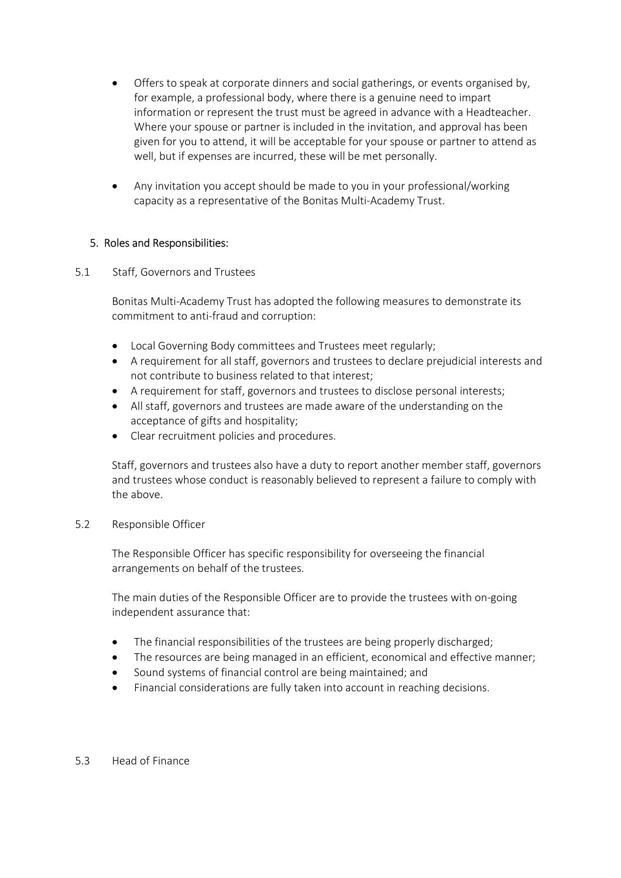- Offers to speak at corporate dinners and social gatherings, or events organised by, for example, a professional body, where there is a genuine need to impart information or represent the trust must be agreed in advance with a Headteacher. Where your spouse or partner is included in the invitation, and approval has been given for you to attend, it will be acceptable for your spouse or partner to attend as well, but if expenses are incurred, these will be met personally.
- Any invitation you accept should be made to you in your professional/working capacity as a representative of the Bonitas Multi-Academy Trust.

### 5. Roles and Responsibilities:

#### 5.1 Staff, Governors and Trustees

Bonitas Multi-Academy Trust has adopted the following measures to demonstrate its commitment to anti-fraud and corruption:

- Local Governing Body committees and Trustees meet regularly;
- A requirement for all staff, governors and trustees to declare prejudicial interests and not contribute to business related to that interest;
- A requirement for staff, governors and trustees to disclose personal interests;
- All staff, governors and trustees are made aware of the understanding on the acceptance of gifts and hospitality;
- Clear recruitment policies and procedures.

Staff, governors and trustees also have a duty to report another member staff, governors and trustees whose conduct is reasonably believed to represent a failure to comply with the above.

#### 5.2 Responsible Officer

 The Responsible Officer has specific responsibility for overseeing the financial arrangements on behalf of the trustees.

 The main duties of the Responsible Officer are to provide the trustees with on-going independent assurance that:

- The financial responsibilities of the trustees are being properly discharged;
- The resources are being managed in an efficient, economical and effective manner;
- Sound systems of financial control are being maintained; and
- Financial considerations are fully taken into account in reaching decisions.

#### 5.3 Head of Finance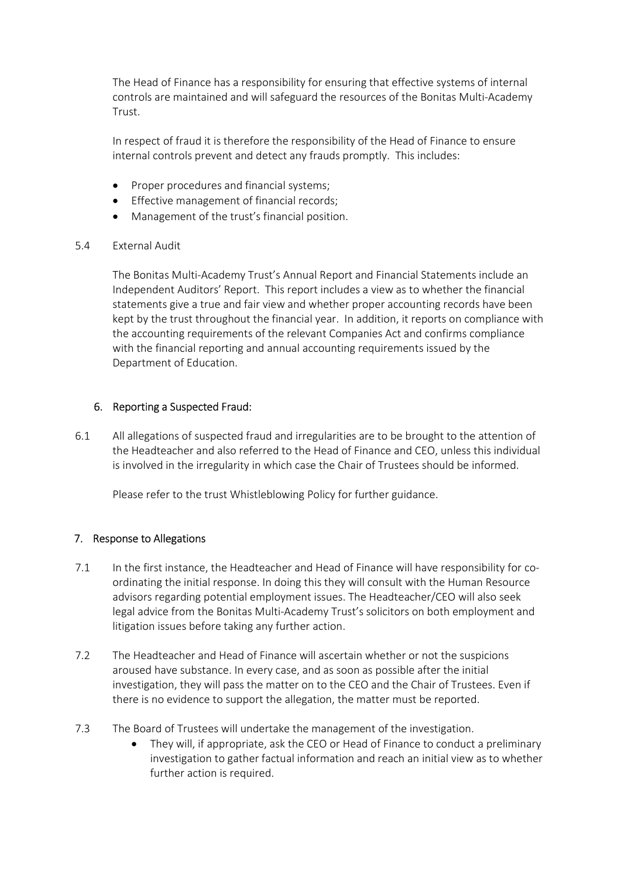The Head of Finance has a responsibility for ensuring that effective systems of internal controls are maintained and will safeguard the resources of the Bonitas Multi-Academy Trust.

In respect of fraud it is therefore the responsibility of the Head of Finance to ensure internal controls prevent and detect any frauds promptly. This includes:

- Proper procedures and financial systems;
- Effective management of financial records;
- Management of the trust's financial position.

#### 5.4 External Audit

The Bonitas Multi-Academy Trust's Annual Report and Financial Statements include an Independent Auditors' Report. This report includes a view as to whether the financial statements give a true and fair view and whether proper accounting records have been kept by the trust throughout the financial year. In addition, it reports on compliance with the accounting requirements of the relevant Companies Act and confirms compliance with the financial reporting and annual accounting requirements issued by the Department of Education.

#### 6. Reporting a Suspected Fraud:

6.1 All allegations of suspected fraud and irregularities are to be brought to the attention of the Headteacher and also referred to the Head of Finance and CEO, unless this individual is involved in the irregularity in which case the Chair of Trustees should be informed.

Please refer to the trust Whistleblowing Policy for further guidance.

#### 7. Response to Allegations

- 7.1 In the first instance, the Headteacher and Head of Finance will have responsibility for coordinating the initial response. In doing this they will consult with the Human Resource advisors regarding potential employment issues. The Headteacher/CEO will also seek legal advice from the Bonitas Multi-Academy Trust's solicitors on both employment and litigation issues before taking any further action.
- 7.2 The Headteacher and Head of Finance will ascertain whether or not the suspicions aroused have substance. In every case, and as soon as possible after the initial investigation, they will pass the matter on to the CEO and the Chair of Trustees. Even if there is no evidence to support the allegation, the matter must be reported.
- 7.3 The Board of Trustees will undertake the management of the investigation.
	- They will, if appropriate, ask the CEO or Head of Finance to conduct a preliminary investigation to gather factual information and reach an initial view as to whether further action is required.